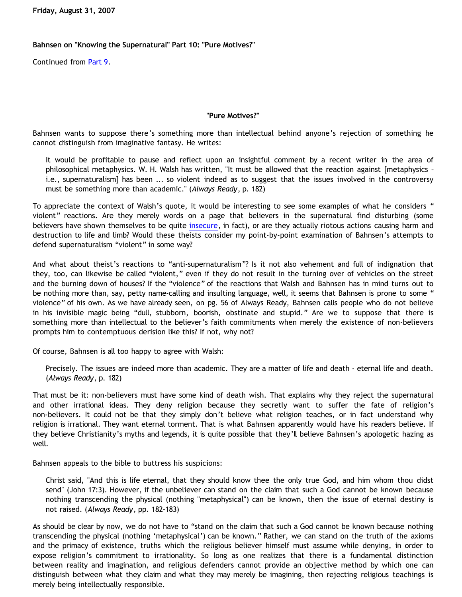**Friday, August 31, 2007**

## **Bahnsen on "Knowing the Supernatural" Part 10: "Pure Motives?"**

Continued from [Part 9](http://bahnsenburner.blogspot.com/2007/08/bahnsen-on-knowing-supernatural-part-9.html).

## **"Pure Motives?"**

Bahnsen wants to suppose there's something more than intellectual behind anyone's rejection of something he cannot distinguish from imaginative fantasy. He writes:

It would be profitable to pause and reflect upon an insightful comment by a recent writer in the area of philosophical metaphysics. W. H. Walsh has written, "It must be allowed that the reaction against [metaphysics – i.e., supernaturalism] has been ... so violent indeed as to suggest that the issues involved in the controversy must be something more than academic." (*Always Ready*, p. 182)

To appreciate the context of Walsh's quote, it would be interesting to see some examples of what he considers " violent" reactions. Are they merely words on a page that believers in the supernatural find disturbing (some believers have shown themselves to be quite [insecure](http://bahnsenburner.blogspot.com/2006/05/christian-insecurity-case-study.html), in fact), or are they actually riotous actions causing harm and destruction to life and limb? Would these theists consider my point-by-point examination of Bahnsen's attempts to defend supernaturalism "violent" in some way?

And what about theist's reactions to "anti-supernaturalism"? Is it not also vehement and full of indignation that they, too, can likewise be called "violent," even if they do not result in the turning over of vehicles on the street and the burning down of houses? If the "violence" of the reactions that Walsh and Bahnsen has in mind turns out to be nothing more than, say, petty name-calling and insulting language, well, it seems that Bahnsen is prone to some " violence" of his own. As we have already seen, on pg. 56 of Always Ready, Bahnsen calls people who do not believe in his invisible magic being "dull, stubborn, boorish, obstinate and stupid." Are we to suppose that there is something more than intellectual to the believer's faith commitments when merely the existence of non-believers prompts him to contemptuous derision like this? If not, why not?

Of course, Bahnsen is all too happy to agree with Walsh:

Precisely. The issues are indeed more than academic. They are a matter of life and death - eternal life and death. (*Always Ready*, p. 182)

That must be it: non-believers must have some kind of death wish. That explains why they reject the supernatural and other irrational ideas. They deny religion because they secretly want to suffer the fate of religion's non-believers. It could not be that they simply don't believe what religion teaches, or in fact understand why religion is irrational. They want eternal torment. That is what Bahnsen apparently would have his readers believe. If they believe Christianity's myths and legends, it is quite possible that they'll believe Bahnsen's apologetic hazing as well.

Bahnsen appeals to the bible to buttress his suspicions:

Christ said, "And this is life eternal, that they should know thee the only true God, and him whom thou didst send" (John 17:3). However, if the unbeliever can stand on the claim that such a God cannot be known because nothing transcending the physical (nothing "metaphysical") can be known, then the issue of eternal destiny is not raised. (*Always Ready*, pp. 182-183)

As should be clear by now, we do not have to "stand on the claim that such a God cannot be known because nothing transcending the physical (nothing 'metaphysical') can be known." Rather, we can stand on the truth of the axioms and the primacy of existence, truths which the religious believer himself must assume while denying, in order to expose religion's commitment to irrationality. So long as one realizes that there is a fundamental distinction between reality and imagination, and religious defenders cannot provide an objective method by which one can distinguish between what they claim and what they may merely be imagining, then rejecting religious teachings is merely being intellectually responsible.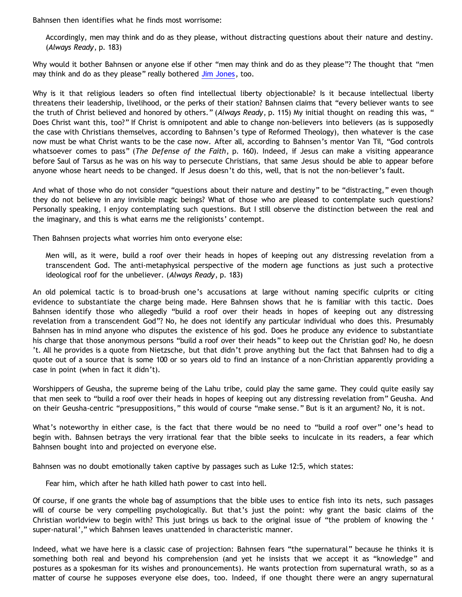Bahnsen then identifies what he finds most worrisome:

Accordingly, men may think and do as they please, without distracting questions about their nature and destiny. (*Always Ready*, p. 183)

Why would it bother Bahnsen or anyone else if other "men may think and do as they please"? The thought that "men may think and do as they please" really bothered [Jim Jones](http://en.wikipedia.org/wiki/Jim_Jones), too.

Why is it that religious leaders so often find intellectual liberty objectionable? Is it because intellectual liberty threatens their leadership, livelihood, or the perks of their station? Bahnsen claims that "every believer wants to see the truth of Christ believed and honored by others." (*Always Ready*, p. 115) My initial thought on reading this was, " Does Christ want this, too?" If Christ is omnipotent and able to change non-believers into believers (as is supposedly the case with Christians themselves, according to Bahnsen's type of Reformed Theology), then whatever is the case now must be what Christ wants to be the case now. After all, according to Bahnsen's mentor Van Til, "God controls whatsoever comes to pass" (*The Defense of the Faith*, p. 160). Indeed, if Jesus can make a visiting appearance before Saul of Tarsus as he was on his way to persecute Christians, that same Jesus should be able to appear before anyone whose heart needs to be changed. If Jesus doesn't do this, well, that is not the non-believer's fault.

And what of those who do not consider "questions about their nature and destiny" to be "distracting," even though they do not believe in any invisible magic beings? What of those who are pleased to contemplate such questions? Personally speaking, I enjoy contemplating such questions. But I still observe the distinction between the real and the imaginary, and this is what earns me the religionists' contempt.

Then Bahnsen projects what worries him onto everyone else:

Men will, as it were, build a roof over their heads in hopes of keeping out any distressing revelation from a transcendent God. The anti-metaphysical perspective of the modern age functions as just such a protective ideological roof for the unbeliever. (*Always Ready*, p. 183)

An old polemical tactic is to broad-brush one's accusations at large without naming specific culprits or citing evidence to substantiate the charge being made. Here Bahnsen shows that he is familiar with this tactic. Does Bahnsen identify those who allegedly "build a roof over their heads in hopes of keeping out any distressing revelation from a transcendent God"? No, he does not identify any particular individual who does this. Presumably Bahnsen has in mind anyone who disputes the existence of his god. Does he produce any evidence to substantiate his charge that those anonymous persons "build a roof over their heads" to keep out the Christian god? No, he doesn 't. All he provides is a quote from Nietzsche, but that didn't prove anything but the fact that Bahnsen had to dig a quote out of a source that is some 100 or so years old to find an instance of a non-Christian apparently providing a case in point (when in fact it didn't).

Worshippers of Geusha, the supreme being of the Lahu tribe, could play the same game. They could quite easily say that men seek to "build a roof over their heads in hopes of keeping out any distressing revelation from" Geusha. And on their Geusha-centric "presuppositions," this would of course "make sense." But is it an argument? No, it is not.

What's noteworthy in either case, is the fact that there would be no need to "build a roof over" one's head to begin with. Bahnsen betrays the very irrational fear that the bible seeks to inculcate in its readers, a fear which Bahnsen bought into and projected on everyone else.

Bahnsen was no doubt emotionally taken captive by passages such as Luke 12:5, which states:

Fear him, which after he hath killed hath power to cast into hell.

Of course, if one grants the whole bag of assumptions that the bible uses to entice fish into its nets, such passages will of course be very compelling psychologically. But that's just the point: why grant the basic claims of the Christian worldview to begin with? This just brings us back to the original issue of "the problem of knowing the ' super-natural'," which Bahnsen leaves unattended in characteristic manner.

Indeed, what we have here is a classic case of projection: Bahnsen fears "the supernatural" because he thinks it is something both real and beyond his comprehension (and yet he insists that we accept it as "knowledge" and postures as a spokesman for its wishes and pronouncements). He wants protection from supernatural wrath, so as a matter of course he supposes everyone else does, too. Indeed, if one thought there were an angry supernatural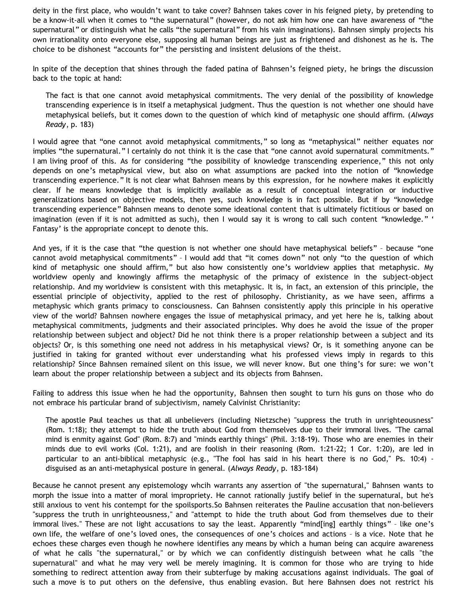deity in the first place, who wouldn't want to take cover? Bahnsen takes cover in his feigned piety, by pretending to be a know-it-all when it comes to "the supernatural" (however, do not ask him how one can have awareness of "the supernatural" or distinguish what he calls "the supernatural" from his vain imaginations). Bahnsen simply projects his own irrationality onto everyone else, supposing all human beings are just as frightened and dishonest as he is. The choice to be dishonest "accounts for" the persisting and insistent delusions of the theist.

In spite of the deception that shines through the faded patina of Bahnsen's feigned piety, he brings the discussion back to the topic at hand:

The fact is that one cannot avoid metaphysical commitments. The very denial of the possibility of knowledge transcending experience is in itself a metaphysical judgment. Thus the question is not whether one should have metaphysical beliefs, but it comes down to the question of which kind of metaphysic one should affirm. (*Always Ready*, p. 183)

I would agree that "one cannot avoid metaphysical commitments," so long as "metaphysical" neither equates nor implies "the supernatural." I certainly do not think it is the case that "one cannot avoid supernatural commitments." I am living proof of this. As for considering "the possibility of knowledge transcending experience," this not only depends on one's metaphysical view, but also on what assumptions are packed into the notion of "knowledge transcending experience." It is not clear what Bahnsen means by this expression, for he nowhere makes it explicitly clear. If he means knowledge that is implicitly available as a result of conceptual integration or inductive generalizations based on objective models, then yes, such knowledge is in fact possible. But if by "knowledge transcending experience" Bahnsen means to denote some ideational content that is ultimately fictitious or based on imagination (even if it is not admitted as such), then I would say it is wrong to call such content "knowledge." ' Fantasy' is the appropriate concept to denote this.

And yes, if it is the case that "the question is not whether one should have metaphysical beliefs" – because "one cannot avoid metaphysical commitments" – I would add that "it comes down" not only "to the question of which kind of metaphysic one should affirm," but also how consistently one's worldview applies that metaphysic. My worldview openly and knowingly affirms the metaphysic of the primacy of existence in the subject-object relationship. And my worldview is consistent with this metaphysic. It is, in fact, an extension of this principle, the essential principle of objectivity, applied to the rest of philosophy. Christianity, as we have seen, affirms a metaphysic which grants primacy to consciousness. Can Bahnsen consistently apply this principle in his operative view of the world? Bahnsen nowhere engages the issue of metaphysical primacy, and yet here he is, talking about metaphysical commitments, judgments and their associated principles. Why does he avoid the issue of the proper relationship between subject and object? Did he not think there is a proper relationship between a subject and its objects? Or, is this something one need not address in his metaphysical views? Or, is it something anyone can be justified in taking for granted without ever understanding what his professed views imply in regards to this relationship? Since Bahnsen remained silent on this issue, we will never know. But one thing's for sure: we won't learn about the proper relationship between a subject and its objects from Bahnsen.

Failing to address this issue when he had the opportunity, Bahnsen then sought to turn his guns on those who do not embrace his particular brand of subjectivism, namely Calvinist Christianity:

The apostle Paul teaches us that all unbelievers (including Nietzsche) "suppress the truth in unrighteousness" (Rom. 1:18); they attempt to hide the truth about God from themselves due to their immoral lives. "The carnal mind is enmity against God" (Rom. 8:7) and "minds earthly things" (Phil. 3:18-19). Those who are enemies in their minds due to evil works (Col. 1:21), and are foolish in their reasoning (Rom. 1:21-22; 1 Cor. 1:20), are led in particular to an anti-biblical metaphysic (e.g., "The fool has said in his heart there is no God," Ps. 10:4) disguised as an anti-metaphysical posture in general. (*Always Ready*, p. 183-184)

Because he cannot present any epistemology whcih warrants any assertion of "the supernatural," Bahnsen wants to morph the issue into a matter of moral impropriety. He cannot rationally justify belief in the supernatural, but he's still anxious to vent his contempt for the spoilsports.So Bahnsen reiterates the Pauline accusation that non-believers "suppress the truth in unrighteousness," and "attempt to hide the truth about God from themselves due to their immoral lives." These are not light accusations to say the least. Apparently "mind[ing] earthly things" – like one's own life, the welfare of one's loved ones, the consequences of one's choices and actions – is a vice. Note that he echoes these charges even though he nowhere identifies any means by which a human being can acquire awareness of what he calls "the supernatural," or by which we can confidently distinguish between what he calls "the supernatural" and what he may very well be merely imagining. It is common for those who are trying to hide something to redirect attention away from their subterfuge by making accusations against individuals. The goal of such a move is to put others on the defensive, thus enabling evasion. But here Bahnsen does not restrict his